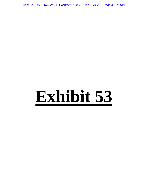Case 1:13-cv-03675-WBH Document 108-7 Filed 12/30/16 Page 406 of 519

# **Exhibit 53**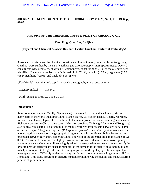# **JOURNAL OF GUIZHOU INSTITUTE OF TECHNOLOGY Vol. 25, No. 1, Feb. 1996, pp. 82-85.**

# **A STUDY ON THE CHEMICAL CONSTITUENTS OF GERANIUM OIL**

# **Zang Ping; Qing Jun; Lu Qing**

## **(Physical and Chemical Analysis Research Center, Guizhou Institute of Technology)**

**Abstract:** In this paper, the chemical constituents of geranium oil, collected from Rong Jiang, Guizhou, were studied by means of capillary gas chromatography-mass spectrometry. Over 40 constituents were separated, of which 31 components, constituting 95.07% of the oil, have been identified. The main ingredients are β-citronellol (24.73 %), garaniol (8.79%), β-guaiene (8.97 %), *p*-menthone (7.19%) and linalool (4.16%), etc.

[Key Words] [geranium oil;](http://search.cnki.com.cn/Search.aspx?q=geranium%20oil) capillary gas chromatography-mass spectrometry

[Category Index] TQ654.2

[DOI] ISSN: 10076832.0.1996-01-014

## **Introduction**

*Pelargonium graveolens* (family: Geraniaceae) is a perennial plant and is widely cultivated in many parts of the world including China, France, Egypt, la Réunion Island, Algeria, Morocco, former Soviet Union, Japan, etc. In addition to the major production areas including Yunnan and Sichuan provinces in China, some parts of Guizhou province (Guiyang, Wangmo and Rongjiang) also cultivate this herb (1). Geranium oil is mainly extracted from freshly harvested aerial parts of the two major Pelargonium species (*Pelargonium graveolens* and *Pelargonium roseum*). The harvesting time depends on the geographical regions and climate. Generally it is harvested and processed between July and October in China. The yield of the essential oil is in the range of 0.1- 0.3%. The color of the oil is from light yellow to deep yellow with a mixture of rosy-, geranyland minty- scents. Geranium oil has a highly added monetary value in cosmetic industries (2). In order to provide scientific evidence to support the assessment of the quality of geranium oil and to help development of high oil content of subgroups, we used [capillary gas chromatography](http://search.cnki.com.cn/Search.aspx?q=%20capillary%20gas%20chromatography-mass%20spectrometry)[mass spectrometry](http://search.cnki.com.cn/Search.aspx?q=%20capillary%20gas%20chromatography-mass%20spectrometry) (GC-MS) to identify and quantify the major components in geranium oil from Rongjiang. This study provides an analytic method for monitoring the quality and manufacturing process of geranium oil.

#### **1. General**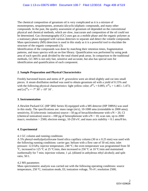The chemical composition of geranium oil is very complicated as it is a mixture of monoterpenes, sesquiterpenes, aromatic/alicyclic/aliphatic compounds, and many other compounds. In the past, the quality assessment of geranium oil depended on the conventional physical and chemical methods, which are slow, inaccurate and composition of the oil could not be determined. Gas chromatography (GC) uses gas as a mobile phase and the organic polymer as a stationary phase equipped with various detectors to separate and detect the volatile compounds. Mass spectrometry (MS) detection is used in this study as it is a powerful tool to elucidate the structure of the organic compounds (3).

Identification of the compounds was done by matching their retention times, fragmentation patterns, and mass spectra with an on-line library. Quantification was performed by using peak area of each specific peak divided by the total eluted peak areas. In comparison to the traditional methods, GC-MS is not only fast, sensitive and accurate, but also has special uses for identification and quantification of each component.

# **2. Sample Preparation and Physical Characteristics**

Freshly harvested leaves and stems of *P. graveolens* were air-dried slightly and cut into small pieces. A steam distillation method was used to obtain geranium oil with a yield of 0.15% and with the following physical characteristics: light yellow color;  $d^{20}$ <sub>4</sub> = 0.895;  $n^{20}$ <sub>D</sub> = 1.465 t 1.473; and  $\lbrack \alpha \rbrack^{20}$ <sub>D</sub> = -7° 30′ ι -10° 16′.

## **3. Instrumentation**

A Hewlett Packard GC (HP 5892 Series II) equipped with a MS detector (HP 5989A) was used in this study. The specifications are: mass range (m/z), 10-1000 amu (extendable to 2000 amu); sensitivity, EI (electronic ionization) source—50 pg of hexachlorobenzene with  $s/N > 20$ , CI (chemical ionization) source—100 pg of benzophenone with  $s/N > 10$ ; scan rate, up to 2000 mau/s; resolution > 2500; electron energy, 10-250 eV; and mass axis stability < 0.1 amu/8 hrs.

# **4. Experimental**

## 4.1 GC column and running conditions

A 5% phenyl-methylpolysiloxane fused silica capillary column (30 m x 0.25 mm) was used with the following running conditions: carrier gas: helium with a flow rate of 50 mL/min; inlet pressure: 12.0 kPa; injector temperature, 240 ºC; the oven temperature was programmed from 50 ºC, increased to 125 ºC at 25 ºC/min, then increased to 250 ºC at 10 ºC/min and maintained isothermally for 7 min; injection volume, 1 µL (diluted in anhydrous ethyl alcohol); and split ratio, 50:1.

## 4.2 MS parameters

Mass spectrometric analysis was carried out with the following operating conditions: source temperature, 250 ºC; ionization mode, EI; ionization voltage, 70 eV; resolution 2500;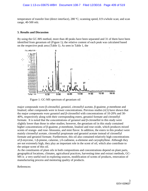temperature of transfer line (direct interface), 280 ºC; scanning speed, 0.9 s/whole scan; and scan range, 40-500 *mlz.*

#### **5. Results and Discussion**

By using the GC-MS method, more than 40 peaks have been separated and 31 of them have been identified from geranium oil (Figure 1); the relative content of each peak was calculated based on the respective peak area (Table 1). As seen in Table 1, the



Figure 1: GC-MS spectrum of geranium oil

major compounds were β-citronellol, geraniol, citronellyl acetate, β-guaiene, *p*-menthone and linalool; other compounds were in lower concentrations. Previous studies (4,5) have shown that the major components were geraniol and β-citronellol with concentrations of 10-20% and 30- 40%, respectively along with their corresponding esters, geraniol formate and citronellyl formate. It is noted that the concentrations of geraniol and β-citronellol in this study were slightly lower than those in other studies; however, the geranium oil in this study contained higher concentrations of β-guaiene, *p*-menthone, linalool and rose oxide, which produces mixed scents of orange- and rose- blossoms, and mint flavor. In addition, the esters in this product were mainly citronellyl acetate, citronellyl propionate and geraniol acetate instead of citronellyl formate and geraniol formate. Furthermore, this oil also contained relatively high concentrations of β-myrcene, 1-β-pinene, calarene, γ/δ-cadinene, α-elemene and caryophyllene. Although they are not extremely high, they play an important role in the scent of oil, which also contribute to the unique scent of this oil.

As the constituents of plant oils in both compositions and concentrations depend on plant parts, geographical locations, climates, agricultural practices, harvesting time and extract methods, GC-MS is a very useful tool in exploring sources, modification of scents of products, renovation of manufacturing process and mentoring quality of products.

References: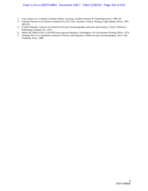- 1. Yuan Jiamo et al. Guizhou Aromatic Plants. Guiyang: Guizhou Science & Technology Press, 1990, 49.
- 2. Fujimaki Masao et al (Chinese translation by Xia Yun). Aromatic Science. Beijing: Light Industry Press, 1987, 385-393.
- 3. Yoshiro Masada. Analysis of essential oil by gas chromatography and mass spectrometry, Tokyo: Hirokawa Publishing Company Inc. 1975.
- 4. Heller SR, Milne GWA. EAP/NIH mass spectral database, Washington: US Government Printing Office, 1978.
- 5. Jennings WG et al. Qualitative analysis of flavour and fragrance volatiles by gas chromatography, New York: Academic Press, 1980.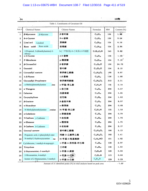| 84     |                                       |                                       |                                                 |           | 1996                |
|--------|---------------------------------------|---------------------------------------|-------------------------------------------------|-----------|---------------------|
|        |                                       | Table 1. Constituents of Geranium Oil |                                                 |           |                     |
| Peak # | <b>Chemical Names</b>                 | <b>Chinese Names</b>                  | Formulae                                        | <b>MW</b> | Content (%)         |
| 1      | β-Myrcence<br>$\beta$ -Myrcene        | 语叶烯                                   | $C_{16}H_{16}$                                  | 136       | 1.96                |
| 2      | 8-4-Carene                            | 8-4-蒈烯                                | $C_{16}H_{16}$                                  | 136       | 0.64                |
| 3      | Lina luol<br>Linalool                 | 芳樟醇                                   | $C_{16}H_{180}$                                 | 154       | 4.16                |
| 4      | Rose oxide<br>Rose oxidi              | 玫瑰醚                                   | $C_{10}H_{100}$                                 | 154       | 2.86                |
| 5      | 2-Propenal, 3-(dimethylamino)-3-      | 3-(二甲胺基)-3-乙氧基-2-丙烯醛                  | $CrH13OsN$                                      | 143       | 0.82                |
| 6      | ethoxy-<br>o-3-Carene                 | o-3-蒈烯                                | $C_{10}H_{16}$                                  | 136       | 1.58                |
| 7      | P-Menthone                            | p-薄荷酮                                 | $C_{10}H_{110}$                                 | 154       | $7.19$ <sup>*</sup> |
| 8      | <b>8-Citronellol</b>                  | β香茅醇                                  | $C_{10}H_{20}O$                                 | 156       | 24.73               |
| 9      | Geraniol                              | 香叶醇                                   | $C_{10}H_{11}O$                                 | 154       | 8.19                |
| 10     | Citronellyl acetate                   | 香茅醇乙酸酯                                | $C_{12}H_{12}O_2$                               | 198       | 9.97                |
| 11     | 1-ß-Pinene                            | 1-β-複婚                                | $C_{10}H_{16}$                                  | :136      | 1.08                |
| 12     | Citronellyl Propionate                | 香茅醇丙酸酯                                | $C_{12}H_{24}O_2$                               | 212       | 2.31                |
| 13     | $\alpha$ -Methylphenethylamine<br>ine | a-甲基-苯乙胺                              | $C_{\mathfrak{s}}H_{\mathfrak{t}\mathfrak{s}}N$ | 135       | 0.19                |
| 14     | a-Ylangene                            | o--依兰烯                                | $C_{14}H_{24}$                                  | 204       | 0.57                |
| 15     | Calarene                              | 白菖油萜                                  | $C_{1s}H_{2s}$                                  | 204       | 1.65                |
| 16     | Caryophyllene                         | 石竹烯                                   | $C_{14}H_{24}$                                  | 204       | 1.62                |
| 17     | <b>ß-Guaiene</b>                      | <b>β-愈创木烯</b>                         | $C_{16}H_{24}$                                  | 204       | 8.97                |
| 18     | a-Humulene                            | a-莓草婚                                 | $C_{14}H_{24}$                                  | 204       | 0.68                |
| 19     | N-Methylphenethylamine<br>trmine      | N-甲基-苯乙胺                              | C <sub>s</sub> H <sub>13</sub> N                | 135       | 1,59                |
| 20     | a-Cubebene                            | a-車澄茄烯                                | $C_{15}H_{24}$                                  | 204       | 0.79                |
| 21     | $\gamma$ -Cadinen $\gamma$ -Cadinene  | 7-杜松烯                                 | $C_{14}H_{24}$                                  | 204       | 1.76                |
| 22     | a-Elemene                             | a-槐香烯                                 | $C_{15}H_{24}$                                  | 204       | 1.75                |
| 23     | &-Cadinen δ-Cadinene                  | 8-杜松烯                                 | $C_{14}H_{24}$                                  | 204       | 2.17                |
| 24     | Geranyl acetate                       | 香叶醇乙酸酯                                | $C_{12}H_{20}O_2$                               | 196       | 1.13                |
| 25     | Propanoic acid, 2-phenylethyl ester   | 丙酸-2-乙酸苯乙酯                            | $C_{13}H_{16}O_2$                               | 192       | 1.41                |
| 26     | N-methyl-2-hydroxytyramine<br>ine     | N-甲基-2-羟基酪胺                           | $C_sH_{14}NO$                                   | 151       | 1.02                |
| 27     | Cyclohexene, 1-methyl-4-isopropyl-    | 1-甲基-4-异丙基-环已烯                        | $C_{10}H_{10}$                                  | 138       | 2.07                |
| 28     | Tricyclene                            | 三环萜                                   | $C_{16}H_{16}$                                  | 136       | 1.03                |
| 29     | 2-Heptanamine, 5-methyl-              | 5-甲基-2-庚胺                             | $C_{\bullet}H_{1\bullet}N$                      | 129       | 0.23                |
| 30     | 2-Hexanamine, 4-methyl-               | 4-甲基-2-己胺                             | C <sub>r</sub> H <sub>1</sub> , N               | 115       | 0.66                |
| 31     | Isomer of 2-Heptanamine, 5-methyl-    | 5-甲基-2-己胺                             | $C_8H_{19}N$                                    | 129       | 0.29                |

Amount of 31 identified peaks (%) in total analysis based on peak area

 $: 5.07$